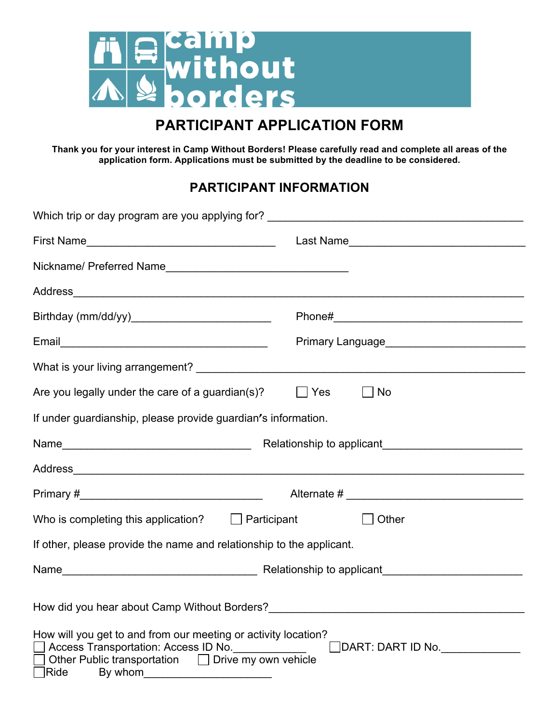

# **PARTICIPANT APPLICATION FORM**

**Thank you for your interest in Camp Without Borders! Please carefully read and complete all areas of the application form. Applications must be submitted by the deadline to be considered.**

## **PARTICIPANT INFORMATION**

| Which trip or day program are you applying for? ________________________________                                                                                                                                                                    |                     |  |  |
|-----------------------------------------------------------------------------------------------------------------------------------------------------------------------------------------------------------------------------------------------------|---------------------|--|--|
|                                                                                                                                                                                                                                                     |                     |  |  |
|                                                                                                                                                                                                                                                     |                     |  |  |
|                                                                                                                                                                                                                                                     |                     |  |  |
|                                                                                                                                                                                                                                                     |                     |  |  |
|                                                                                                                                                                                                                                                     |                     |  |  |
|                                                                                                                                                                                                                                                     |                     |  |  |
| Are you legally under the care of a guardian(s)?                                                                                                                                                                                                    | Yes<br>$\vert$   No |  |  |
| If under guardianship, please provide guardian's information.                                                                                                                                                                                       |                     |  |  |
|                                                                                                                                                                                                                                                     |                     |  |  |
|                                                                                                                                                                                                                                                     |                     |  |  |
|                                                                                                                                                                                                                                                     |                     |  |  |
| Who is completing this application? $\Box$ Participant                                                                                                                                                                                              | $\Box$ Other        |  |  |
| If other, please provide the name and relationship to the applicant.                                                                                                                                                                                |                     |  |  |
|                                                                                                                                                                                                                                                     |                     |  |  |
| How did you hear about Camp Without Borders? ___________________________________                                                                                                                                                                    |                     |  |  |
| How will you get to and from our meeting or activity location?<br>Access Transportation: Access ID No. 100 100<br>$\Box$ DART: DART ID No. $\_\_\_\_\_\_\_\_\_\_\_\_$<br>Other Public transportation $\Box$ Drive my own vehicle<br>Ride<br>By whom |                     |  |  |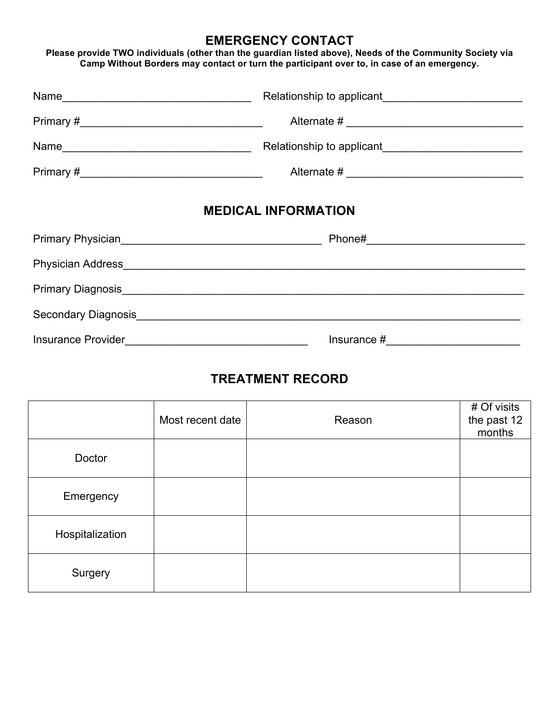#### **EMERGENCY CONTACT**

**Please provide TWO individuals (other than the guardian listed above), Needs of the Community Society via Camp Without Borders may contact or turn the participant over to, in case of an emergency.** 

| Name               | Relationship to applicant<br><u>Letter and the substitute of the substitute of the substitute of the substitute</u> of the substitute of the substitute of the substitute of the substitute of the substitute of the substitute of th |  |
|--------------------|---------------------------------------------------------------------------------------------------------------------------------------------------------------------------------------------------------------------------------------|--|
|                    |                                                                                                                                                                                                                                       |  |
| Name               | Relationship to applicant<br><u>Letter and the substitute of the substitute of the substitute of the substitute</u> of the substitute of the substitute of the substitute of the substitute of the substitute of the substitute of th |  |
|                    |                                                                                                                                                                                                                                       |  |
|                    | <b>MEDICAL INFORMATION</b>                                                                                                                                                                                                            |  |
|                    | Primary Physician Manuscription of Phone # Phone # Phone # Phone # Phone # 2012                                                                                                                                                       |  |
|                    |                                                                                                                                                                                                                                       |  |
|                    |                                                                                                                                                                                                                                       |  |
|                    |                                                                                                                                                                                                                                       |  |
| Insurance Provider | Insurance #                                                                                                                                                                                                                           |  |

## **TREATMENT RECORD**

|                 | Most recent date | Reason | # Of visits<br>the past 12<br>months |
|-----------------|------------------|--------|--------------------------------------|
| Doctor          |                  |        |                                      |
| Emergency       |                  |        |                                      |
| Hospitalization |                  |        |                                      |
| Surgery         |                  |        |                                      |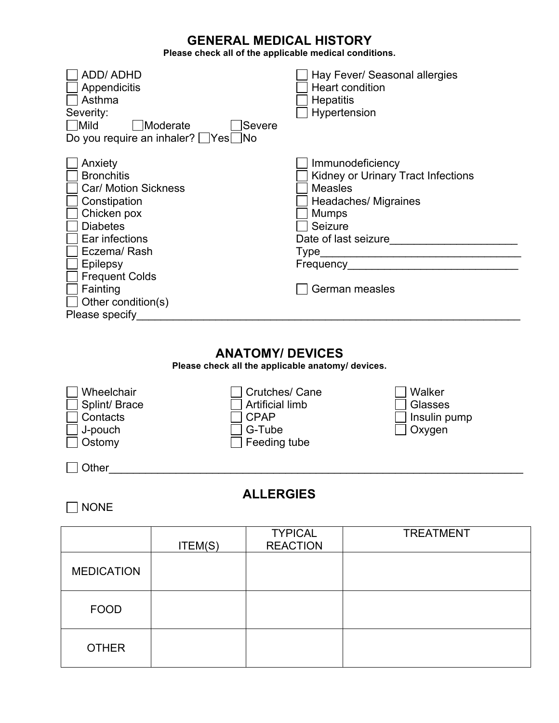### **GENERAL MEDICAL HISTORY**

**Please check all of the applicable medical conditions.** 

| <b>ADD/ADHD</b><br>Appendicitis<br>Asthma<br>Severity:<br><b>Mild</b>                                                                                                                                                            | Moderate<br>Do you require an inhaler? Ves                                                                                              | Severe<br>้∣No                                                               | Hay Fever/ Seasonal allergies<br><b>Heart condition</b><br>Hepatitis<br>Hypertension                    |  |  |
|----------------------------------------------------------------------------------------------------------------------------------------------------------------------------------------------------------------------------------|-----------------------------------------------------------------------------------------------------------------------------------------|------------------------------------------------------------------------------|---------------------------------------------------------------------------------------------------------|--|--|
| Anxiety<br><b>Bronchitis</b><br>Car/ Motion Sickness<br>Constipation<br>Chicken pox<br><b>Diabetes</b><br>Ear infections<br>Eczema/Rash<br>Epilepsy<br><b>Frequent Colds</b><br>Fainting<br>Other condition(s)<br>Please specify |                                                                                                                                         | <b>Measles</b><br><b>Mumps</b><br>Seizure                                    | Immunodeficiency<br>Kidney or Urinary Tract Infections<br><b>Headaches/ Migraines</b><br>German measles |  |  |
|                                                                                                                                                                                                                                  |                                                                                                                                         | <b>ANATOMY/ DEVICES</b><br>Please check all the applicable anatomy/ devices. |                                                                                                         |  |  |
| Wheelchair<br>Splint/ Brace<br>Contacts<br>J-pouch<br>Ostomy                                                                                                                                                                     | Crutches/ Cane<br>Walker<br><b>Artificial limb</b><br><b>Glasses</b><br><b>CPAP</b><br>Insulin pump<br>G-Tube<br>Oxygen<br>Feeding tube |                                                                              |                                                                                                         |  |  |
| <b>ALLERGIES</b><br><b>NONE</b>                                                                                                                                                                                                  |                                                                                                                                         |                                                                              |                                                                                                         |  |  |
|                                                                                                                                                                                                                                  | ITEM(S)                                                                                                                                 | <b>TYPICAL</b><br><b>REACTION</b>                                            | <b>TREATMENT</b>                                                                                        |  |  |
| <b>MEDICATION</b>                                                                                                                                                                                                                |                                                                                                                                         |                                                                              |                                                                                                         |  |  |
|                                                                                                                                                                                                                                  |                                                                                                                                         |                                                                              |                                                                                                         |  |  |

FOOD OTHER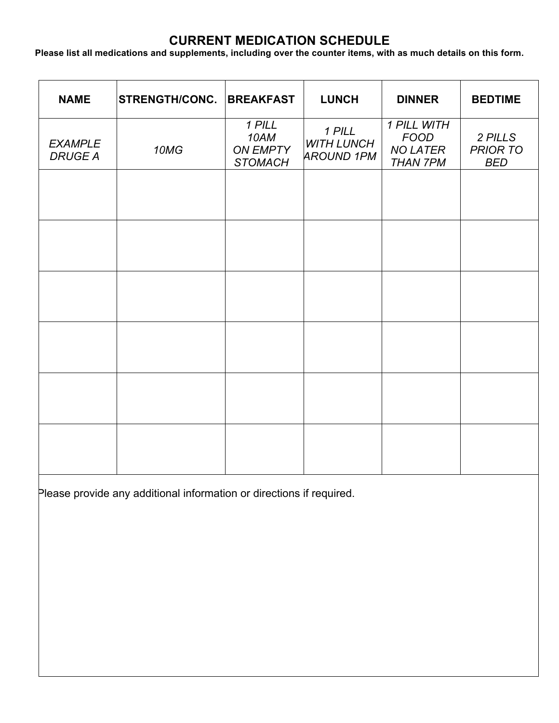## **CURRENT MEDICATION SCHEDULE**

**Please list all medications and supplements, including over the counter items, with as much details on this form.**

| <b>NAME</b>                      | <b>STRENGTH/CONC.</b> | <b>BREAKFAST</b>                                    | <b>LUNCH</b>                                     | <b>DINNER</b>                                                    | <b>BEDTIME</b>                           |
|----------------------------------|-----------------------|-----------------------------------------------------|--------------------------------------------------|------------------------------------------------------------------|------------------------------------------|
| <b>EXAMPLE</b><br><b>DRUGE A</b> | 10MG                  | 1 PILL<br>10AM<br><b>ON EMPTY</b><br><b>STOMACH</b> | 1 PILL<br><b>WITH LUNCH</b><br><b>AROUND 1PM</b> | 1 PILL WITH<br><b>FOOD</b><br><b>NO LATER</b><br><b>THAN 7PM</b> | 2 PILLS<br><b>PRIOR TO</b><br><b>BED</b> |
|                                  |                       |                                                     |                                                  |                                                                  |                                          |
|                                  |                       |                                                     |                                                  |                                                                  |                                          |
|                                  |                       |                                                     |                                                  |                                                                  |                                          |
|                                  |                       |                                                     |                                                  |                                                                  |                                          |
|                                  |                       |                                                     |                                                  |                                                                  |                                          |
|                                  |                       |                                                     |                                                  |                                                                  |                                          |

Please provide any additional information or directions if required.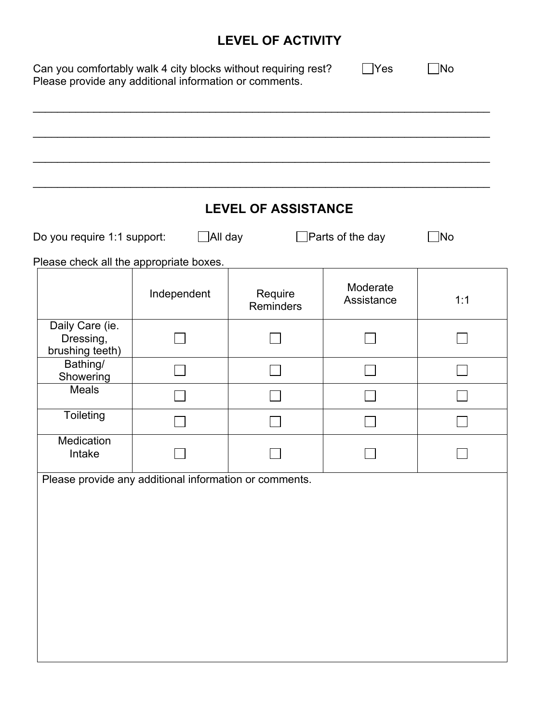# **LEVEL OF ACTIVITY**

| Do you require 1:1 support:                            | _All day    | <b>LEVEL OF ASSISTANCE</b>  | Parts of the day       | ∫No |
|--------------------------------------------------------|-------------|-----------------------------|------------------------|-----|
| Please check all the appropriate boxes.                |             |                             |                        |     |
|                                                        | Independent | Require<br><b>Reminders</b> | Moderate<br>Assistance | 1:1 |
| Daily Care (ie.<br>Dressing,<br>brushing teeth)        |             |                             |                        |     |
| Bathing/<br>Showering                                  |             |                             |                        |     |
| <b>Meals</b>                                           |             |                             |                        |     |
| Toileting                                              |             |                             |                        |     |
| Medication<br>Intake                                   |             |                             |                        |     |
| Please provide any additional information or comments. |             |                             |                        |     |
|                                                        |             |                             |                        |     |
|                                                        |             |                             |                        |     |
|                                                        |             |                             |                        |     |
|                                                        |             |                             |                        |     |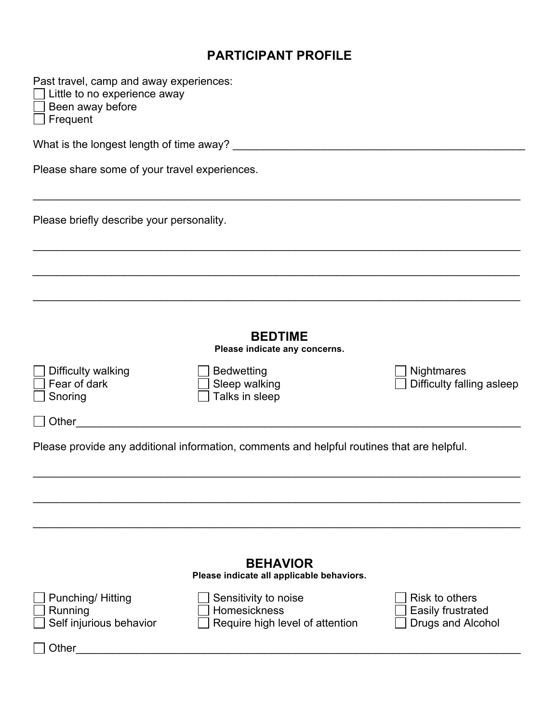#### **PARTICIPANT PROFILE**

| Past travel, camp and away experiences: |  |  |  |
|-----------------------------------------|--|--|--|
|                                         |  |  |  |

Little to no experience away

Been away before

Frequent

What is the longest length of time away? \_\_\_\_\_\_\_\_\_\_\_\_\_\_\_\_\_\_\_\_\_\_\_\_\_\_\_\_\_\_\_\_\_\_\_\_\_\_\_\_\_\_\_\_\_\_\_\_

Please share some of your travel experiences.

Please briefly describe your personality.

**BEDTIME**

 $\_$ 

\_\_\_\_\_\_\_\_\_\_\_\_\_\_\_\_\_\_\_\_\_\_\_\_\_\_\_\_\_\_\_\_\_\_\_\_\_\_\_\_\_\_\_\_\_\_\_\_\_\_\_\_\_\_\_\_\_\_\_\_\_\_\_\_\_\_\_\_\_\_\_\_\_\_\_\_\_\_\_\_

 $\mathcal{L}_\mathcal{L} = \mathcal{L}_\mathcal{L} = \mathcal{L}_\mathcal{L} = \mathcal{L}_\mathcal{L} = \mathcal{L}_\mathcal{L} = \mathcal{L}_\mathcal{L} = \mathcal{L}_\mathcal{L} = \mathcal{L}_\mathcal{L} = \mathcal{L}_\mathcal{L} = \mathcal{L}_\mathcal{L} = \mathcal{L}_\mathcal{L} = \mathcal{L}_\mathcal{L} = \mathcal{L}_\mathcal{L} = \mathcal{L}_\mathcal{L} = \mathcal{L}_\mathcal{L} = \mathcal{L}_\mathcal{L} = \mathcal{L}_\mathcal{L}$ 

\_\_\_\_\_\_\_\_\_\_\_\_\_\_\_\_\_\_\_\_\_\_\_\_\_\_\_\_\_\_\_\_\_\_\_\_\_\_\_\_\_\_\_\_\_\_\_\_\_\_\_\_\_\_\_\_\_\_\_\_\_\_\_\_\_\_\_\_\_\_\_\_\_\_\_\_\_\_\_\_

**Please indicate any concerns.**

\_\_\_\_\_\_\_\_\_\_\_\_\_\_\_\_\_\_\_\_\_\_\_\_\_\_\_\_\_\_\_\_\_\_\_\_\_\_\_\_\_\_\_\_\_\_\_\_\_\_\_\_\_\_\_\_\_\_\_\_\_\_\_\_\_\_\_\_\_\_\_\_\_\_\_\_\_\_\_\_

\_\_\_\_\_\_\_\_\_\_\_\_\_\_\_\_\_\_\_\_\_\_\_\_\_\_\_\_\_\_\_\_\_\_\_\_\_\_\_\_\_\_\_\_\_\_\_\_\_\_\_\_\_\_\_\_\_\_\_\_\_\_\_\_\_\_\_\_\_\_\_\_\_\_\_\_\_\_\_\_

 $\_$ 

| $\Box$ Difficulty walki |
|-------------------------|
| $\Box$ Fear of dark     |
| $\Box$ Snoring          |

◯ Difficulty walking  $\Box$  Bedwetting  $\Box$  Bedwetting  $\Box$  Nightmares  $\Box$  Nightmares  $\overline{\Box}$  Talks in sleep

 $\Box$  Difficulty falling asleep

Other\_\_\_\_\_\_\_\_\_\_\_\_\_\_\_\_\_\_\_\_\_\_\_\_\_\_\_\_\_\_\_\_\_\_\_\_\_\_\_\_\_\_\_\_\_\_\_\_\_\_\_\_\_\_\_\_\_\_\_\_\_\_\_\_\_\_\_\_\_\_\_\_\_

Please provide any additional information, comments and helpful routines that are helpful.

|                                                               | <b>BEHAVIOR</b><br>Please indicate all applicable behaviors.            |                                                                 |
|---------------------------------------------------------------|-------------------------------------------------------------------------|-----------------------------------------------------------------|
| Punching/Hitting<br>Running<br>$\Box$ Self injurious behavior | Sensitivity to noise<br>Homesickness<br>Require high level of attention | Risk to others<br>Easily frustrated<br><b>Drugs and Alcohol</b> |
| Other                                                         |                                                                         |                                                                 |